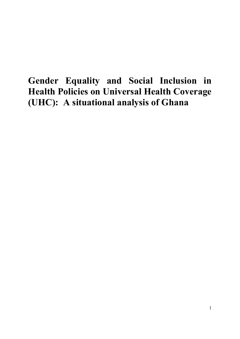# **Gender Equality and Social Inclusion in Health Policies on Universal Health Coverage (UHC): A situational analysis of Ghana**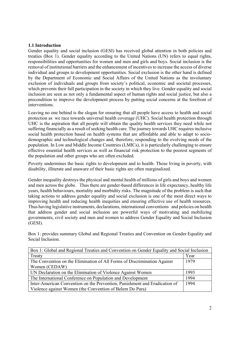#### **1.1 Introduction**

Gender equality and social inclusion (GESI) has received global attention in both policies and treaties (Box 1). Gender equality according to the United Nations (UN) refers to equal rights, responsibilities and opportunities for women and men and girls and boys. Social inclusion is the removal of institutional barriers and the enhancement of incentives to increase the access of diverse individual and groups to development opportunities. Social exclusion is the other hand is defined by the Department of Economic and Social Affairs of the United Nations as the involuntary exclusion of individuals and groups from society's political, economic and societal processes, which prevents their full participation in the society in which they live. Gender equality and social inclusion are seen as not only a fundamental aspect of human rights and social justice, but also a precondition to improve the development process by putting social concerns at the forefront of interventions.

Leaving no one behind is the slogan for ensuring that all people have access to health and social protection as we race towards universal health coverage (UHC). Social health protection through UHC is the aspiration that all people will obtain the quality health services they need while not suffering financially as a result of seeking health care. The journey towards UHC requires inclusive social health protection based on health systems that are affordable and able to adapt to sociodemographic and technological changes and, therefore, responding to the evolving needs of the population. In Low and Middle Income Countries (LMICs), it is particularly challenging to ensure effective essential health services as well as financial risk protection to the poorest segments of the population and other groups who are often excluded.

Poverty undermines the basic rights to development and to health. Those living in poverty, with disability, illiterate and unaware of their basic rights are often marginalized.

Gender inequality destroys the physical and mental health of millions of girls and boys and women and men across the globe. Thus there are gender-based differences in life expectancy, healthy life years, health behaviours, mortality and morbidity risks. The magnitude of the problem is such that taking actions to address gender equality and social exclusion is one of the most direct ways to improving health and reducing health inequities and ensuring effective use of health resources. Thus having legislative instruments, declarations, international conventions and policies on health that address gender and social inclusion are powerful ways of motivating and mobilizing governments, civil society and men and women to address Gender Equality and Social Inclusion (GESI).

Box 1: provides summary Global and Regional Treaties and Convention on Gender Equality and Social Inclusion.

| Box 1: Global and Regional Treaties and Convention on Gender Equality and Social Inclusion |      |  |
|--------------------------------------------------------------------------------------------|------|--|
| Treaty                                                                                     | Year |  |
| The Convention on the Elimination of All Forms of Discrimination Against                   | 1979 |  |
| Women (CEDAW)                                                                              |      |  |
| UN Declaration on the Elimination of Violence Against Women                                | 1993 |  |
| The International Conference on Population and Development                                 | 1994 |  |
| Inter-American Convention on the Prevention, Punishment and Eradication of                 | 1994 |  |
| Violence against Women (the Convention of Belem Do Para)                                   |      |  |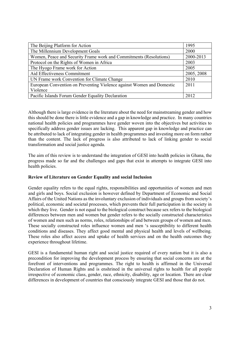| The Beijing Platform for Action                                       | 1995       |
|-----------------------------------------------------------------------|------------|
| The Millennium Development Goals                                      | 2000       |
| Women, Peace and Security Frame work and Commitments (Resolutions)    | 2000-2013  |
| Protocol on the Rights of Women in Africa                             | 2003       |
| The Hyogo Frame work for Action                                       | 2005       |
| Aid Effectiveness Commitment                                          | 2005, 2008 |
| UN Frame work Convention for Climate Change                           | 2010       |
| European Convention on Preventing Violence against Women and Domestic | 2011       |
| Violence                                                              |            |
| Pacific Islands Forum Gender Equality Declaration                     | 2012       |

Although there is large evidence in the literature about the need for mainstreaming gender and how this should be done there is little evidence and a gap in knowledge and practice. In many countries national health policies and programmes have gender woven into the objectives but activities to specifically address gender issues are lacking. This apparent gap in knowledge and practice can be attributed to lack of integrating gender in health programmes and investing more on form rather than the content. The lack of progress is also attributed to lack of linking gender to social transformation and social justice agenda.

The aim of this review is to understand the integration of GESI into health policies in Ghana, the progress made so far and the challenges and gaps that exist in attempts to integrate GESI into health policies.

# **Review of Literature on Gender Equality and social Inclusion**

Gender equality refers to the equal rights, responsibilities and opportunities of women and men and girls and boys. Social exclusion is however defined by Department of Economic and Social Affairs of the United Nations as the involuntary exclusion of individuals and groups from society's political, economic and societal processes, which prevents their full participation in the society in which they live. Gender is not equal to the biological construct because sex refers to the biological differences between men and women but gender refers to the socially constructed characteristics of women and men such as norms, roles, relationships of and between groups of women and men. These socially constructed roles influence women and men 's susceptibility to different health conditions and diseases. They affect good mental and physical health and levels of wellbeing. These roles also affect access and uptake of health services and on the health outcomes they experience throughout lifetime.

GESI is a fundamental human right and social justice required of every nation but it is also a precondition for improving the development process by ensuring that social concerns are at the forefront of interventions and programmes. The right to health is affirmed in the Universal Declaration of Human Rights and is enshrined in the universal rights to health for all people irrespective of economic class, gender, race, ethnicity, disability, age or location. There are clear differences in development of countries that consciously integrate GESI and those that do not.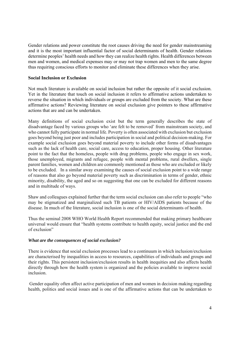Gender relations and power constitute the root causes driving the need for gender mainstreaming and it is the most important influential factor of social determinants of health. Gender relations determine peoples' health needs and how they can realize health rights. Health differences between men and women, and medical expenses may or may not trap women and men to the same degree thus requiring conscious efforts to monitor and eliminate these differences when they arise.

#### **Social Inclusion or Exclusion**

Not much literature is available on social inclusion but rather the opposite of it social exclusion. Yet in the literature that touch on social inclusion it refers to affirmative actions undertaken to reverse the situation in which individuals or groups are excluded from the society. What are these affirmative actions? Reviewing literature on social exclusion give pointers to these affirmative actions that are and can be undertaken.

Many definitions of social exclusion exist but the term generally describes the state of disadvantage faced by various groups who 'are felt to be removed' from mainstream society, and who cannot fully participate in normal life. Poverty is often associated with exclusion but exclusion goes beyond being just poor and includes participation in social and political decision-making. For example social exclusion goes beyond material poverty to include other forms of disadvantages such as the lack of health care, social care, access to education, proper housing. Other literature point to the fact that the homeless, people with drug problems, people who engage in sex work, those unemployed, migrants and refugee, people with mental problems, rural dwellers, single parent families, women and children are commonly mentioned as those who are excluded or likely to be excluded. In a similar away examining the causes of social exclusion point to a wide range of reasons that also go beyond material poverty such as discrimination in terms of gender, ethnic minority, disability, the aged and so on suggesting that one can be excluded for different reasons and in multitude of ways.

Shaw and colleagues explained further that the term social exclusion can also refer to people "who may be stigmatized and marginalized such TB patients or HIV/AIDS patients because of the disease. In much of the literature, social inclusion is one of the social determinants of health.

Thus the seminal 2008 WHO World Health Report recommended that making primary healthcare universal would ensure that "health systems contribute to health equity, social justice and the end of exclusion"

#### *What are the consequences of social exclusion?*

There is evidence that social exclusion processes lead to a continuum in which inclusion/exclusion are characterised by inequalities in access to resources, capabilities of individuals and groups and their rights. This persistent inclusion/exclusion results in health inequities and also affects health directly through how the health system is organized and the policies available to improve social inclusion.

 Gender equality often affect active participation of men and women in decision making regarding health, politics and social issues and is one of the affirmative actions that can be undertaken to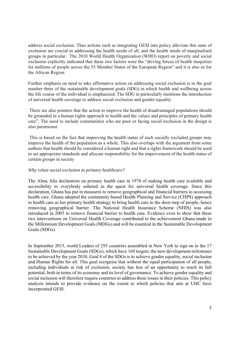address social exclusion. Thus actions such as integrating GESI into policy alleviate this state of exclusion are crucial in addressing the health needs of all, and the health needs of marginalised groups in particular. The 2010 World Health Organization (WHO) report on poverty and social exclusion explicitly indicated that these two factors were the "driving forces of health inequities for millions of people across the 53 Member States of the European Region" and it is also so for the African Region.

Further emphasis on need to take affirmative action on addressing social exclusion is in the goal number three of the sustainable development goals (SDG) in which health and wellbeing across the life course of the individual is emphasized. The SDG in particularly mentions the introduction of universal health coverage to address social exclusion and gender equality.

 There are also pointers that the action to improve the health of disadvantaged populations should be grounded in a human rights approach to health and the values and principles of primary health care". The need to include communities who are poor or facing social exclusion in the design is also paramount.

 This is based on the fact that improving the health status of such socially excluded groups may improve the health of the population as a whole. This also overlaps with the argument from some authors that health should be considered a human right and that a rights framework should be used to set appropriate standards and allocate responsibility for the improvement of the health status of certain groups in society

#### *Why relate social exclusion to primary healthcare?*

The Alma Alta declaration on primary health care in 1978 of making health care available and accessibility to everybody ushered in the quest for universal health coverage. Since this declaration, Ghana has put in measures to remove geographical and financial barriers to accessing health care. Ghana adopted the community-based Health Planning and Service (CHPS) approach to health care as her primary health strategy to bring health care to the door-step of people, hence removing geographical barrier. The National Health Insurance Scheme (NHIS) was also introduced in 2003 to remove financial barrier to health care. Evidence exist to show that these two interventions on Universal Health Coverage contributed to the achievement Ghana made in the Millennium Development Goals (MDGs) and will be essential in the Sustainable Development Goals (SDGs).

In September 2015, world Leaders of 293 countries assembled in New York to sign on to the 17 Sustainable Development Goals (SDGs), which have 169 targets; the new development milestones to be achieved by the year 2030. Goal 4 of the SDGs is to achieve gender equality, social inclusion and Human Rights for all. This goal recognise that without the equal participation of all people, including individuals at risk of exclusion, society has less of an opportunity to reach its full potential, both in terms of its economy and its level of governance. To achieve gender equality and social inclusion will therefore require countries to address these issues in their policies. This policy analysis intends to provide evidence on the extent to which policies that aim at UHC have incorporated GESI.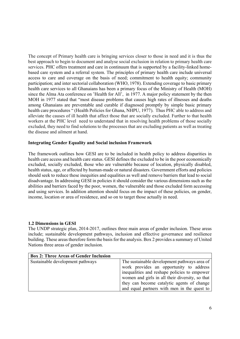The concept of Primary health care is bringing services closer to those in need and it is thus the best approach to begin to document and analyse social exclusion in relation to primary health care services. PHC offers treatment and care in continuum that is supported by a facility-linked homebased care system and a referral system. The principles of primary health care include universal access to care and coverage on the basis of need; commitment to health equity; community participation; and inter sectorial collaboration (WHO, 1978). Extending coverage to basic primary health care services to all Ghanaians has been a primary focus of the Ministry of Health (MOH) since the Alma Ata conference on 'Health for All', in 1977. A major policy statement by the then MOH in 1977 stated that "most disease problems that causes high rates of illnesses and deaths among Ghanaians are preventable and curable if diagnosed promptly by simple basic primary health care procedures " (Health Policies for Ghana, NHPU, 1977). Thus PHC able to address and alleviate the causes of ill health that affect those that are socially excluded. Further to that health workers at the PHC level need to understand that in resolving health problems of those socially excluded, they need to find solutions to the processes that are excluding patients as well as treating the disease and ailment at hand.

#### **Integrating Gender Equality and Social inclusion Framework**

The framework outlines how GESI are to be included in health policy to address disparities in health care access and health care status. GESI defines the excluded to be in the poor economically excluded, socially excluded, those who are vulnerable because of location, physically disabled, health status, age, or affected by human-made or natural disasters. Government efforts and policies should seek to reduce these inequities and equalities as well and remove barriers that lead to social disadvantage. In addressing GESI in policies it should consider the various dimensions such as the abilities and barriers faced by the poor, women, the vulnerable and those excluded form accessing and using services. In addition attention should focus on the impact of these policies, on gender, income, location or area of residence, and so on to target those actually in need.

#### **1.2 Dimensions in GESI**

The UNDP strategic plan, 2014-2017, outlines three main areas of gender inclusion. These areas include; sustainable development pathways, inclusion and effective governance and resilience building. These areas therefore form the basis for the analysis. Box 2 provides a summary of United Nations three areas of gender inclusion.

| <b>Box 2: Three Areas of Gender Inclusion</b> |                                                 |
|-----------------------------------------------|-------------------------------------------------|
| Sustainable development pathways              | The sustainable development pathways area of    |
|                                               | work provides an opportunity to address         |
|                                               | inequalities and reshape policies to empower    |
|                                               | women and girls in all their diversity, so that |
|                                               | they can become catalytic agents of change      |
|                                               | and equal partners with men in the quest to     |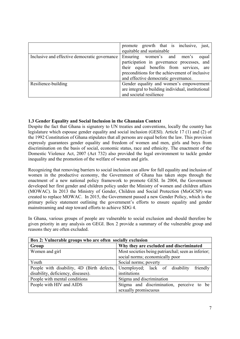|                                               | promote growth that is inclusive,<br>just,<br>equitable and sustainable                                                                                                                                                |
|-----------------------------------------------|------------------------------------------------------------------------------------------------------------------------------------------------------------------------------------------------------------------------|
| Inclusive and effective democratic governance | Ensuring women's and men's<br>equal<br>participation in governance processes, and<br>their equal benefits from services, are<br>preconditions for the achievement of inclusive<br>and effective democratic governance. |
| Resilience-building                           | Gender equality and women's empowerment<br>are integral to building individual, institutional<br>and societal resilience                                                                                               |

# **1.3 Gender Equality and Social Inclusion in the Ghanaian Context**

Despite the fact that Ghana is signatory to UN treaties and conventions, locally the country has legislature which espouse gender equality and social inclusion (GESI). Article 17 (1) and (2) of the 1992 Constitution of Ghana stipulates that all persons are equal before the law. This provision expressly guarantees gender equality and freedom of women and men, girls and boys from discrimination on the basis of social, economic status, race and ethnicity. The enactment of the Domestic Violence Act, 2007 (Act 732) also provided the legal environment to tackle gender inequality and the promotion of the welfare of women and girls.

Recognizing that removing barriers to social inclusion can allow for full equality and inclusion of women in the productive economy, the Government of Ghana has taken steps through the enactment of a new national policy framework to promote GESI. In 2004, the Government developed her first gender and children policy under the Ministry of women and children affairs (MOWAC). In 2013 the Ministry of Gender, Children and Social Protection (MoGCSP) was created to replace MOWAC. In 2015, the Government passed a new Gender Policy, which is the primary policy statement outlining the government's efforts to ensure equality and gender mainstreaming and step toward efforts to achieve SDG 4.

In Ghana, various groups of people are vulnerable to social exclusion and should therefore be given priority in any analysis on GEGI. Box 2 provide a summary of the vulnerable group and reasons they are often excluded.

| Box 2: Vulnerable groups who are often socially exclusion |                                                     |  |  |
|-----------------------------------------------------------|-----------------------------------------------------|--|--|
| Group                                                     | Why they are excluded and discriminated             |  |  |
| Women and girl                                            | Most societies being patriarchal; seen as inferior; |  |  |
|                                                           | social norms; economically poor                     |  |  |
| Youth                                                     | Social norms; poverty                               |  |  |
| People with disability, 4D (Birth defects,                | friendly<br>Unemployed; lack of disability          |  |  |
| disability, deficiency, diseases).                        | institutions                                        |  |  |
| People with mental conditions                             | Stigma and discrimination                           |  |  |
| People with HIV and AIDS                                  | Stigma and discrimination, perceive to be           |  |  |
|                                                           | sexually promiscuous                                |  |  |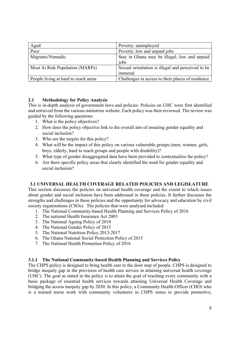| Aged                                 | Poverty; unemployed                                          |
|--------------------------------------|--------------------------------------------------------------|
| Poor                                 | Poverty; low and unpaid jobs                                 |
| Migrants/Nomadic                     | Stay in Ghana may be illegal; low and unpaid<br>jobs         |
| Most At Risk Population (MARPs)      | Sexual orientation is illegal and perceived to be<br>immoral |
| People living at hard to reach areas | Challenges in access to their places of residence            |

# **2.1 Methodology for Policy Analysis**

This is in-depth analysis of government laws and policies. Policies on UHC were first identified and retrieved from the various ministries website. Each policy was then reviewed. The review was guided by the following questions:

- 1. What is the policy objectives?
- 2. How does the policy objective link to the overall aim of ensuring gender equality and social inclusion?
- 3. Who are the targets for this policy?
- 4. What will be the impact of this policy on various vulnerable groups (men, women, girls, boys, elderly, hard to reach groups and people with disability)?
- 5. What type of gender disaggregated data have been provided to contextualize the policy?
- 6. Are there specific policy areas that clearly identified the need for gender equality and social inclusion?

# **3.1 UNIVERSAL HEALTH COVERAGE RELATED POLICIES AND LEGISLATURE**

This section discusses the policies on universal health coverage and the extent to which issues about gender and social inclusion have been addressed in these policies. It further discusses the strengths and challenges in these policies and the opportunity for advocacy and education by civil society organisations (CSOs). The policies that were analysed included:

- 1. The National Community-based Health Planning and Services Policy of 2016
- 2. The national Health Insurance Act 2003
- 3. The National Ageing Policy of 2010
- 4. The National Gender Policy of 2015
- 5. The National Nutrition Policy 2013-2017
- 6. The Ghana National Social Protection Policy of 2015
- 7. The National Health Promotion Policy of 2016

# **3.1.1 The National Community-based Health Planning and Services Policy**

The CHPS policy is designed to bring health care to the door step of people. CHPS is designed to bridge inequity gap in the provision of health care service in attaining universal health coverage (UHC). The goal as stated in the policy is to attain the goal of reaching every community with a basic package of essential health services towards attaining Universal Health Coverage and bridging the access inequity gap by 2030. In this policy, a Community Health Officer (CHO) who is a trained nurse work with community volunteers in CHPS zones to provide promotive,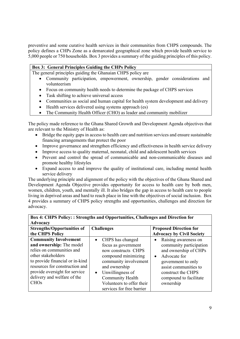preventive and some curative health services in their communities from CHPS compounds. The policy defines a CHPs Zone as a demarcated geographical zone which provide health service to 5,000 people or 750 households. Box 3 provides a summary of the guiding principles of this policy.

#### **Box 3: General Principles Guiding the CHPs Policy**

The general principles guiding the Ghanaian CHPS policy are

- Community participation, empowerment, ownership, gender considerations and volunteerism
- Focus on community health needs to determine the package of CHPS services
- Task shifting to achieve universal access
- Communities as social and human capital for health system development and delivery
- Health services delivered using systems approach (es)
- The Community Health Officer (CHO) as leader and community mobilizer

The policy made reference to the Ghana Shared Growth and Development Agenda objectives that are relevant to the Ministry of Health as:

- Bridge the equity gaps in access to health care and nutrition services and ensure sustainable financing arrangements that protect the poor
- Improve governance and strengthen efficiency and effectiveness in health service delivery
- Improve access to quality maternal, neonatal, child and adolescent health services
- Prevent and control the spread of communicable and non-communicable diseases and promote healthy lifestyles
- Expand access to and improve the quality of institutional care, including mental health service delivery

The underlying principle and alignment of the policy with the objectives of the Ghana Shared and Development Agenda Objective provides opportunity for access to health care by both men, women, children, youth, and mentally ill. It also bridges the gap in access to health care to people living in deprived areas and hard to reach place in line with the objectives of social inclusion. Box 4 provides a summary of CHPS policy strengths and opportunities, challenges and direction for advocacy.

| Box 4: CHPS Policy: : Strengths and Opportunities, Challenges and Direction for |                                              |                                                  |  |
|---------------------------------------------------------------------------------|----------------------------------------------|--------------------------------------------------|--|
| <b>Advocacy</b>                                                                 |                                              |                                                  |  |
| <b>Strengths/Opportunities of</b>                                               | <b>Challenges</b>                            | <b>Proposed Direction for</b>                    |  |
| the CHPS Policy                                                                 |                                              | <b>Advocacy by Civil Society</b>                 |  |
| <b>Community Involvement</b><br>and ownership: The model                        | • CHPS has changed                           | Raising awareness on<br>$\bullet$                |  |
| relies on communities and                                                       | focus as government<br>now constructs CHPS   | community participation<br>and ownership of CHPs |  |
| other stakeholders<br>to provide financial or in-kind                           | compound minimizing<br>community involvement | Advocate for<br>$\bullet$<br>government to only  |  |
| resources for construction and                                                  | and ownership                                | assist communities to                            |  |
| provide oversight for service                                                   | Unwillingness of<br>$\bullet$                | construct the CHPS                               |  |
| delivery and welfare of the                                                     | Community Health                             | compound to facilitate                           |  |
| CHOs                                                                            | Volunteers to offer their                    | ownership                                        |  |
|                                                                                 | services for free barrier                    |                                                  |  |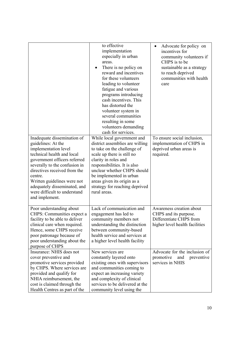|                                                                                                                                                                                                                                                                                                                                      | to effective<br>implementation<br>especially in urban<br>areas.<br>There is no policy on<br>reward and incentives<br>for these volunteers<br>leading to volunteer<br>fatigue and various<br>programs introducing<br>cash incentives. This                                                                                     | Advocate for policy on<br>incentives for<br>community volunteers if<br>CHPS is to be<br>sustainable as a strategy<br>to reach deprived<br>communities with health<br>care |
|--------------------------------------------------------------------------------------------------------------------------------------------------------------------------------------------------------------------------------------------------------------------------------------------------------------------------------------|-------------------------------------------------------------------------------------------------------------------------------------------------------------------------------------------------------------------------------------------------------------------------------------------------------------------------------|---------------------------------------------------------------------------------------------------------------------------------------------------------------------------|
|                                                                                                                                                                                                                                                                                                                                      | has distorted the<br>volunteer system in<br>several communities<br>resulting in some<br>volunteers demanding<br>cash for services.                                                                                                                                                                                            |                                                                                                                                                                           |
| Inadequate dissemination of<br>guidelines: At the<br>implementation level<br>technical health and local<br>government officers referred<br>severally to the confusion in<br>directives received from the<br>centre.<br>Written guidelines were not<br>adequately disseminated, and<br>were difficult to understand<br>and implement. | While local government and<br>district assemblies are willing<br>to take on the challenge of<br>scale up there is still no<br>clarity in roles and<br>responsibilities. It is also<br>unclear whether CHPS should<br>be implemented in urban<br>areas given its origin as a<br>strategy for reaching deprived<br>rural areas. | To ensure social inclusion,<br>implementation of CHPS in<br>deprived urban areas is<br>required.                                                                          |
| Poor understanding about<br>CHPS: Communities expect a<br>facility to be able to deliver<br>clinical care when required.<br>Hence, some CHPS receive<br>poor patronage because of<br>poor understanding about the<br>purpose of CHPS                                                                                                 | Lack of communication and<br>engagement has led to<br>community members not<br>understanding the distinction<br>between community-based<br>health service and services at<br>a higher level health facility                                                                                                                   | Awareness creation about<br>CHPS and its purpose.<br>Differentiate CHPS from<br>higher level health facilities                                                            |
| Insurance: NHIS does not<br>cover preventive and<br>promotive services provided<br>by CHPS. Where services are<br>provided and qualify for<br>NHIA reimbursement, the<br>cost is claimed through the<br>Health Centres as part of the                                                                                                | New services are<br>constantly layered onto<br>existing ones with supervisors<br>and communities coming to<br>expect an increasing variety<br>and complexity of clinical<br>services to be delivered at the<br>community level using the                                                                                      | Advocate for the inclusion of<br>promotive<br>and<br>preventive<br>services in NHIS                                                                                       |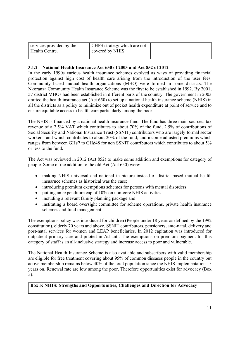| services provided by the<br>Health Centre. | CHPS strategy which are not<br>covered by NHIS |  |
|--------------------------------------------|------------------------------------------------|--|
|                                            |                                                |  |

### **3.1.2 National Health Insurance Act 650 of 2003 and Act 852 of 2012**

In the early 1990s various health insurance schemes evolved as ways of providing financial protection against high cost of health care arising from the introduction of the user fees. Community based mutual health organizations (MHO) were formed in some districts. The Nkoranza Community Health Insurance Scheme was the first to be established in 1992. By 2001, 57 district MHOs had been established in different parts of the country. The government in 2003 drafted the health insurance act (Act 650) to set up a national health insurance scheme (NHIS) in all the districts as a policy to minimize out of pocket health expenditure at point of service and to ensure equitable access to health care particularly among the poor.

The NHIS is financed by a national health insurance fund. The fund has three main sources: tax revenue of a 2.5% VAT which contributes to about 70% of the fund, 2.5% of contributions of Social Security and National Insurance Trust (SSNIT) contributors who are largely formal sector workers; and which contributes to about 20% of the fund; and income adjusted premiums which ranges from between GH¢7 to GH¢48 for non SSNIT contributors which contributes to about 5% or less to the fund.

The Act was reviewed in 2012 (Act 852) to make some addition and exemptions for category of people. Some of the addition to the old Act (Act 650) were:

- making NHIS universal and national in picture instead of district based mutual health insuarnce schemes as historical was the case;
- introducing premium exemptions schemes for persons with mental disorders
- putting an expenditure cap of 10% on non-core NHIS activities
- including a relevant family planning package and
- instituting a board oversight committee for scheme operations, private health insurance schemes and fund management.

The exemptions policy was introduced for children (People under 18 years as defined by the 1992 constitution), elderly 70 years and above, SSNIT contributors, pensioners, ante-natal, delivery and post-natal services for women and LEAP beneficiaries. In 2012 capitation was introduced for outpatient primary care and piloted in Ashanti. The exemptions on premium payment for this category of staff is an all-inclusive strategy and increase access to poor and vulnerable.

The National Health Insurance Scheme is also available and subscribers with valid membership are eligible for free treatment covering about 95% of common diseases people in the country but active membership remains below 40% of the total population since the NHIS implementation 15 years on. Renewal rate are low among the poor. Therefore opportunities exist for advocacy (Box 5).

**Box 5: NHIS: Strengths and Opportunities, Challenges and Direction for Advocacy**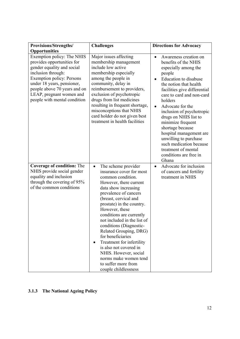| Provisions/Strengths/                                                                                                                                                                                                                                                                              | <b>Challenges</b>                                                                                                                                                                                                                                                                                                                                                                                                                                                                                                                 | <b>Directions for Advocacy</b>                                                                                                                                                                                                                                                                                                                                                                                                                                                                   |
|----------------------------------------------------------------------------------------------------------------------------------------------------------------------------------------------------------------------------------------------------------------------------------------------------|-----------------------------------------------------------------------------------------------------------------------------------------------------------------------------------------------------------------------------------------------------------------------------------------------------------------------------------------------------------------------------------------------------------------------------------------------------------------------------------------------------------------------------------|--------------------------------------------------------------------------------------------------------------------------------------------------------------------------------------------------------------------------------------------------------------------------------------------------------------------------------------------------------------------------------------------------------------------------------------------------------------------------------------------------|
| <b>Opportunities</b><br>Exemption policy: The NHIS<br>provides opportunities for<br>gender equality and social<br>inclusion through:<br><b>Exemption policy: Persons</b><br>under 18 years, pensioner,<br>people above 70 years and on<br>LEAP, pregnant women and<br>people with mental condition | Major issues affecting<br>membership management<br>include low active<br>membership especially<br>among the people in<br>community, delay in<br>reimbursement to providers,<br>exclusion of psychotropic<br>drugs from list medicines<br>resulting in frequent shortage,<br>misconceptions that NHIS<br>card holder do not given best<br>treatment in health facilities                                                                                                                                                           | Awareness creation on<br>$\bullet$<br>benefits of the NHIS<br>especially among the<br>people<br>Education to disabuse<br>$\bullet$<br>the notion that health<br>facilities give differential<br>care to card and non-card<br>holders<br>Advocate for the<br>inclusion of psychotropic<br>drugs on NHIS list to<br>minimize frequent<br>shortage because<br>hospital management are<br>unwilling to purchase<br>such medication because<br>treatment of mental<br>conditions are free in<br>Ghana |
| <b>Coverage of condition: The</b><br>NHIS provide social gender<br>equality and inclusion<br>through the covering of 95%<br>of the common conditions                                                                                                                                               | The scheme provider<br>$\bullet$<br>insurance cover for most<br>common condition.<br>However, there current<br>data show increasing<br>prevalence of cancers<br>(breast, cervical and<br>prostate) in the country.<br>However, these<br>conditions are currently<br>not included in the list of<br>conditions (Diagnostic-<br>Related Grouping, DRG)<br>for beneficiaries<br>Treatment for infertility<br>is also not covered in<br>NHIS. However, social<br>norms make women tend<br>to suffer more from<br>couple childlessness | Advocate for inclusion<br>$\bullet$<br>of cancers and fertility<br>treatment in NHIS                                                                                                                                                                                                                                                                                                                                                                                                             |

# **3.1.3 The National Ageing Policy**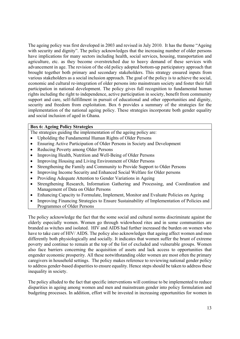The ageing policy was first developed in 2003 and revised in July 2010. It has the theme "Ageing with security and dignity". The policy acknowledges that the increasing number of older persons have implications for many sectors including health, social services, housing, transportation and agriculture, etc. as they become overstretched due to heavy demand of these services with advancement in age. The revision of the old policy adopted bottom-up participatory approach that brought together both primary and secondary stakeholders. This strategy ensured inputs from various stakeholders as a social inclusion approach. The goal of the policy is to achieve the social, economic and cultural re-integration of older persons into mainstream society and foster their full participation in national development. The policy gives full recognition to fundamental human rights including the right to independence, active participation in society, benefit from community support and care, self-fulfillment in pursuit of educational and other opportunities and dignity, security and freedom from exploitation. Box 6 provides a summary of the strategies for the implementation of the national ageing policy. These strategies incorporate both gender equality and social inclusion of aged in Ghana.

#### **Box 6: Ageing Policy Strategies**

The strategies guiding the implementation of the ageing policy are:

- Upholding the Fundamental Human Rights of Older Persons
- Ensuring Active Participation of Older Persons in Society and Development
- Reducing Poverty among Older Persons
- Improving Health, Nutrition and Well-Being of Older Persons
- Improving Housing and Living Environment of Older Persons
- Strengthening the Family and Community to Provide Support to Older Persons
- Improving Income Security and Enhanced Social Welfare for Older persons
- Providing Adequate Attention to Gender Variations in Ageing
- Strengthening Research, Information Gathering and Processing, and Coordination and Management of Data on Older Persons
- Enhancing Capacity to Formulate, Implement, Monitor and Evaluate Policies on Ageing
- Improving Financing Strategies to Ensure Sustainability of Implementation of Policies and Programmes of Older Persons

The policy acknowledge the fact that the some social and cultural norms discriminate against the elderly especially women. Women go through widowhood rites and in some communities are branded as witches and isolated. HIV and AIDS had further increased the burden on women who have to take care of HIV/ AIDS. The policy also acknowledges that ageing affect women and men differently both physiologically and socially. It indicates that women suffer the brunt of extreme poverty and continue to remain at the top of the list of excluded and vulnerable groups. Women also face barriers concerning the acquisition of assets and lack access to opportunities that engender economic prosperity. All these notwithstanding older women are most often the primary caregivers in household settings. The policy makes reference to reviewing national gender policy to address gender-based disparities to ensure equality. Hence steps should be taken to address these inequality in society.

The policy alluded to the fact that specific interventions will continue to be implemented to reduce disparities in ageing among women and men and mainstream gender into policy formulation and budgeting processes. In addition, effort will be invested in increasing opportunities for women in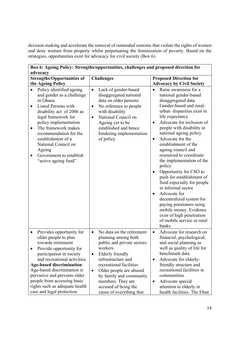decision-making and accelerate the removal of outmoded customs that violate the rights of women and deny women from property whilst perpetuating the feminization of poverty. Based on the strategies, opportunities exist for advocacy for civil society (Box 6).

| Box 6: Ageing Policy: Strengths/opportunities, challenges and proposed direction for                                                                                                                                                                                                                                                                           |                                                                                                                                                                                                                                                                                                                                      |                                                                                                                                                                                                                                                                                                                                                                                                                                                                                                                                                                                                                                                                                     |  |
|----------------------------------------------------------------------------------------------------------------------------------------------------------------------------------------------------------------------------------------------------------------------------------------------------------------------------------------------------------------|--------------------------------------------------------------------------------------------------------------------------------------------------------------------------------------------------------------------------------------------------------------------------------------------------------------------------------------|-------------------------------------------------------------------------------------------------------------------------------------------------------------------------------------------------------------------------------------------------------------------------------------------------------------------------------------------------------------------------------------------------------------------------------------------------------------------------------------------------------------------------------------------------------------------------------------------------------------------------------------------------------------------------------------|--|
| advocacy                                                                                                                                                                                                                                                                                                                                                       |                                                                                                                                                                                                                                                                                                                                      |                                                                                                                                                                                                                                                                                                                                                                                                                                                                                                                                                                                                                                                                                     |  |
| <b>Strengths/Opportunities of</b>                                                                                                                                                                                                                                                                                                                              | <b>Challenges</b>                                                                                                                                                                                                                                                                                                                    | <b>Proposed Direction for</b>                                                                                                                                                                                                                                                                                                                                                                                                                                                                                                                                                                                                                                                       |  |
| the Ageing Policy                                                                                                                                                                                                                                                                                                                                              |                                                                                                                                                                                                                                                                                                                                      | <b>Advocacy by Civil Society</b>                                                                                                                                                                                                                                                                                                                                                                                                                                                                                                                                                                                                                                                    |  |
| Policy identified ageing<br>and gender as a challenge<br>in Ghana<br>Listed Persons with<br>$\bullet$<br>disability act of 2006 as<br>legal framework for<br>policy implementation<br>The framework makes<br>$\bullet$<br>recommendation for the<br>establishment of a<br>National Council on<br>Ageing<br>Government to establish<br>"active ageing fund"     | Lack of gender-based<br>$\bullet$<br>disaggregated national<br>data on older persons<br>No reference to people<br>$\bullet$<br>with disability<br>National Council on<br>$\bullet$<br>Ageing yet to be<br>established and hence<br>hindering implementation<br>of policy                                                             | Raise awareness for a<br>national gender-based<br>disaggregated data.<br>Gender-based and rural-<br>urban disparities exist in<br>life expectancy<br>Advocate for inclusion of<br>people with disability in<br>national ageing policy<br>Advocate for the<br>$\bullet$<br>establishment of the<br>ageing council and<br>resourced to coordinate<br>the implementation of the<br>policy<br>Opportunity for CSO to<br>push for establishment of<br>fund especially for people<br>in informal sector<br>Advocate for<br>$\bullet$<br>decentralized system for<br>paying pensioners using<br>mobile money. Evidence<br>exist of high penetration<br>of mobile service or rural<br>banks |  |
| Provides opportunity for<br>older people to plan<br>towards retirement<br>Provide opportunity for<br>participation in society<br>and recreational activities<br><b>Age-based discrimination:</b><br>Age-based discrimination is<br>pervasive and prevents older<br>people from accessing basic<br>rights such as adequate health<br>care and legal protection. | No data on the retirement<br>$\bullet$<br>planning among both<br>public and private sectors<br>workers<br>Elderly friendly<br>$\bullet$<br>infrastructure and<br>recreational facilities<br>Older people are abused<br>$\bullet$<br>by family and community<br>members. They are<br>accused of being the<br>cause of everything that | Advocate for research on<br>$\bullet$<br>financial, psychological,<br>and social planning as<br>well as quality of life for<br>benchmark data<br>Advocate for elderly-<br>friendly structure and<br>recreational facilities in<br>communities<br>Advocate special<br>attention to elderly in<br>health facilities. The Eban                                                                                                                                                                                                                                                                                                                                                         |  |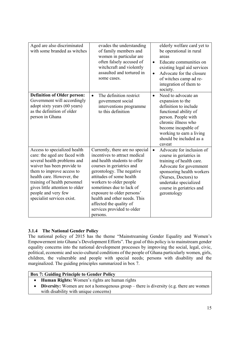| Aged are also discriminated<br>with some branded as witches                                                                                                                                                                                                                                                  | evades the understanding<br>of family members and<br>women in particular are<br>often falsely accused of<br>witchcraft and violently<br>assaulted and tortured in<br>some cases.                                                                                                                                                                                                 | elderly welfare card yet to<br>be operational in rural<br>areas<br>Educate communities on<br>$\bullet$<br>existing legal aid services<br>Advocate for the closure<br>$\bullet$<br>of witches camp ad re-<br>integration of them to<br>society.    |
|--------------------------------------------------------------------------------------------------------------------------------------------------------------------------------------------------------------------------------------------------------------------------------------------------------------|----------------------------------------------------------------------------------------------------------------------------------------------------------------------------------------------------------------------------------------------------------------------------------------------------------------------------------------------------------------------------------|---------------------------------------------------------------------------------------------------------------------------------------------------------------------------------------------------------------------------------------------------|
| <b>Definition of Older person:</b><br>Government will accordingly<br>adopt sixty years (60 years)<br>as the definition of older<br>person in Ghana                                                                                                                                                           | The definition restrict<br>$\bullet$<br>government social<br>interventions programme<br>to this definition                                                                                                                                                                                                                                                                       | Need to advocate an<br>$\bullet$<br>expansion to the<br>definition to include<br>functional ability of<br>person. People with<br>chronic illness who<br>become incapable of<br>working to earn a living<br>should be included as a<br>caveat      |
| Access to specialized health<br>care: the aged are faced with<br>several health problems and<br>waiver has been provide to<br>them to improve access to<br>health care. However, the<br>training of health personnel<br>gives little attention to older<br>people and very few<br>specialist services exist. | Currently, there are no special<br>incentives to attract medical<br>and health students to offer<br>courses in geriatrics and<br>gerontology. The negative<br>attitudes of some health<br>workers to older people<br>sometimes due to lack of<br>exposure to older persons'<br>health and other needs. This<br>affected the quality of<br>services provided to older<br>persons. | Advocate for inclusion of<br>$\bullet$<br>course in geriatrics in<br>training of health care.<br>Advocate for government<br>sponsoring health workers<br>(Nurses, Doctors) to<br>undertake specialized<br>course in geriatrics and<br>gerontology |

# **3.1.4 The National Gender Policy**

The national policy of 2015 has the theme "Mainstreaming Gender Equality and Women's Empowerment into Ghana's Development Efforts". The goal of this policy is to mainstream gender equality concerns into the national development processes by improving the social, legal, civic, political, economic and socio-cultural conditions of the people of Ghana particularly women, girls, children, the vulnerable and people with special needs; persons with disability and the marginalized. The guiding principles summarized in box 7.

# **Box 7: Guiding Principle to Gender Policy**

- **Human Rights:** Women's rights are human rights
- **Diversity:** Women are not a homogenous group there is diversity (e.g. there are women with disability with unique concerns)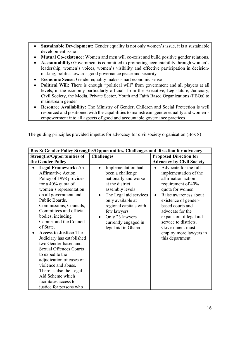- **Sustainable Development:** Gender equality is not only women's issue, it is a sustainable development issue
- **Mutual Co-existence:** Women and men will co-exist and build positive gender relations.
- **Accountability:** Government is committed to promoting accountability through women's leadership, women's voices, women's visibility and effective participation in decisionmaking, politics towards good governance peace and security
- **Economic Sense:** Gender equality makes smart economic sense
- **Political Will:** There is enough *"*political will" from government and all players at all levels, in the economy particularly officials from the Executive, Legislature, Judiciary, Civil Society, the Media, Private Sector, Youth and Faith Based Organizations (FBOs) to mainstream gender
- **Resource Availability:** The Ministry of Gender, Children and Social Protection is well resourced and positioned with the capabilities to mainstream gender equality and women's empowerment into all aspects of good and accountable governance practices

| Box 8: Gender Policy Strengths/Opportunities, Challenges and direction for advocacy                                                                                                                                                                                                                                                                                                                                                                                                                                                                                                             |                                                                                                                                                                                                                                                                                          |                                                                                                                                                                                                                                                                                                                           |  |
|-------------------------------------------------------------------------------------------------------------------------------------------------------------------------------------------------------------------------------------------------------------------------------------------------------------------------------------------------------------------------------------------------------------------------------------------------------------------------------------------------------------------------------------------------------------------------------------------------|------------------------------------------------------------------------------------------------------------------------------------------------------------------------------------------------------------------------------------------------------------------------------------------|---------------------------------------------------------------------------------------------------------------------------------------------------------------------------------------------------------------------------------------------------------------------------------------------------------------------------|--|
| <b>Strengths/Opportunities of</b><br>the Gender Policy                                                                                                                                                                                                                                                                                                                                                                                                                                                                                                                                          | <b>Challenges</b>                                                                                                                                                                                                                                                                        | <b>Proposed Direction for</b><br><b>Advocacy by Civil Society</b>                                                                                                                                                                                                                                                         |  |
| <b>Legal Framework: An</b><br><b>Affirmative Action</b><br>Policy of 1998 provides<br>for a 40% quota of<br>women's representation<br>on all government and<br>Public Boards,<br>Commissions, Councils,<br>Committees and official<br>bodies, including<br>Cabinet and the Council<br>of State.<br><b>Access to Justice: The</b><br>Judiciary has established<br>two Gender-based and<br><b>Sexual Offences Courts</b><br>to expedite the<br>adjudication of cases of<br>violence and abuse.<br>There is also the Legal<br>Aid Scheme which<br>facilitates access to<br>justice for persons who | Implementation had<br>$\bullet$<br>been a challenge<br>nationally and worse<br>at the district<br>assembly levels<br>The Legal aid services<br>only available at<br>regional capitals with<br>few lawyers<br>Only 23 lawyers<br>$\bullet$<br>currently engaged in<br>legal aid in Ghana. | Advocate for the full<br>implementation of the<br>affirmation action<br>requirement of 40%<br>quota for women<br>Raise awareness about<br>existence of gender-<br>based courts and<br>advocate for the<br>expansion of legal aid<br>service to districts.<br>Government must<br>employ more lawyers in<br>this department |  |

The guiding principles provided impetus for advocacy for civil society organisation (Box 8)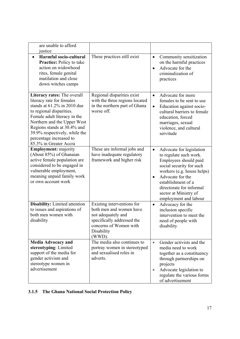| are unable to afford<br>justice                                                                                                                                                                                                                                                                            |                                                                                                                                                             |                                                                                                                                                                                                                                                                                         |
|------------------------------------------------------------------------------------------------------------------------------------------------------------------------------------------------------------------------------------------------------------------------------------------------------------|-------------------------------------------------------------------------------------------------------------------------------------------------------------|-----------------------------------------------------------------------------------------------------------------------------------------------------------------------------------------------------------------------------------------------------------------------------------------|
| Harmful socio-cultural<br><b>Practice:</b> Policy to take<br>action on widowhood<br>rites, female genital<br>mutilation and close<br>down witches camps                                                                                                                                                    | These practices still exist                                                                                                                                 | Community sensitization<br>$\bullet$<br>on the harmful practices<br>Advocate for the<br>$\bullet$<br>criminalization of<br>practices                                                                                                                                                    |
| Literacy rates: The overall<br>literacy rate for females<br>stands at $61.2\%$ in 2010 due<br>to regional disparities.<br>Female adult literacy in the<br>Northern and the Upper West<br>Regions stands at 30.4% and<br>39.9% respectively, while the<br>percentage increased to<br>85.3% in Greater Accra | Regional disparities exist<br>with the three regions located<br>in the northern part of Ghana<br>worse off.                                                 | Advocate for more<br>$\bullet$<br>females to be sent to use<br>Education against socio-<br>$\bullet$<br>cultural barriers to female<br>education, forced<br>marriages, sexual<br>violence, and cultural<br>servitude                                                                    |
| <b>Employment:</b> majority<br>(About 85%) of Ghanaian<br>active female population are<br>considered to be engaged in<br>vulnerable employment,<br>meaning unpaid family work<br>or own account work                                                                                                       | These are informal jobs and<br>have inadequate regulatory<br>framework and higher risk                                                                      | Advocate for legislation<br>$\bullet$<br>to regulate such work.<br>Employees should paid<br>social security for such<br>workers (e.g. house helps)<br>Advocate for the<br>$\bullet$<br>establishment of a<br>directorate for informal<br>sector at Ministry of<br>employment and labour |
| <b>Disability:</b> Limited attention<br>to issues and aspirations of<br>both men women with<br>disability                                                                                                                                                                                                  | Existing interventions for<br>both men and women have<br>not adequately and<br>specifically addressed the<br>concerns of Women with<br>Disability<br>(WWD). | Advocacy for the<br>$\bullet$<br>inclusion specific<br>intervention to meet the<br>need of people with<br>disability                                                                                                                                                                    |
| <b>Media Advocacy and</b><br>stereotyping: Limited<br>support of the media for<br>gender activism and<br>stereotype women in<br>advertisement                                                                                                                                                              | The media also continues to<br>portray women in stereotyped<br>and sexualised roles in<br>adverts.                                                          | Gender activists and the<br>$\bullet$<br>media need to work<br>together as a constituency<br>through partnerships on<br>projects<br>Advocate legislation to<br>$\bullet$<br>regulate the various forms<br>of advertisement                                                              |

# **3.1.5 The Ghana National Social Protection Policy**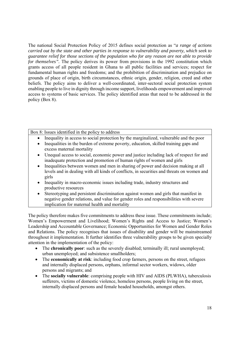The national Social Protection Policy of 2015 defines social protection as "*a range of actions carried out by the state and other parties in response to vulnerability and poverty, which seek to guarantee relief for those sections of the population who for any reason are not able to provide for themselves".* The policy derives its power from provisions in the 1992 constitution which grants access of all people resident in Ghana to all public facilities and services; respect for fundamental human rights and freedoms; and the prohibition of discrimination and prejudice on grounds of place of origin, birth circumstances, ethnic origin, gender, religion, creed and other beliefs. The policy aims to deliver a well-coordinated, inter-sectoral social protection system enabling people to live in dignity through income support, livelihoods empowerment and improved access to systems of basic services. The policy identified areas that need to be addressed in the policy (Box 8).

Box 8: Issues identified in the policy to address

- Inequality in access to social protection by the marginalized, vulnerable and the poor
- Inequalities in the burden of extreme poverty, education, skilled training gaps and excess maternal mortality
- Unequal access to social, economic power and justice including lack of respect for and inadequate protection and promotion of human rights of women and girls
- Inequalities between women and men in sharing of power and decision making at all levels and in dealing with all kinds of conflicts, in securities and threats on women and girls
- Inequality in macro-economic issues including trade, industry structures and productive resources
- Stereotyping and persistent discrimination against women and girls that manifest in negative gender relations, and value for gender roles and responsibilities with severe implication for maternal health and mortality

The policy therefore makes five commitments to address these issue. These commitments include; Women's Empowerment and Livelihood; Women's Rights and Access to Justice; Women's Leadership and Accountable Governance; Economic Opportunities for Women and Gender Roles and Relations. The policy recognises that issues of disability and gender will be mainstreamed throughout it implementation. It further identifies three vulnerability groups to be given specially attention in the implementation of the policy:

- The **chronically poor**: such as the severely disabled; terminally ill; rural unemployed; urban unemployed; and subsistence smallholders;
- The **economically at risk**: including food crop farmers, persons on the street, refugees and internally displaced persons, orphans, informal sector workers, widows, older persons and migrants; and
- The **socially vulnerable**: comprising people with HIV and AIDS (PLWHA), tuberculosis sufferers, victims of domestic violence, homeless persons, people living on the street, internally displaced persons and female headed households, amongst others.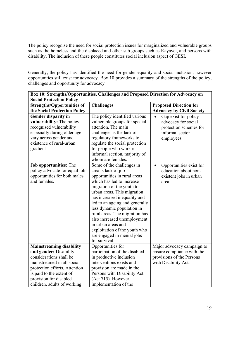The policy recognise the need for social protection issues for marginalized and vulnerable groups such as the homeless and the displaced and other sub groups such as Kayayei, and persons with disability. The inclusion of these people constitutes social inclusion aspect of GESI.

Generally, the policy has identified the need for gender equality and social inclusion, however opportunities still exist for advocacy. Box 10 provides a summary of the strengths of the policy, challenges and opportunity for advocacy

| Box 10: Strengths/Opportunities, Challenges and Proposed Direction for Advocacy on                                                                                                                    |                                                                                                                                                                                                                                                                                                                                                                                                                                                  |                                                                                                                    |  |
|-------------------------------------------------------------------------------------------------------------------------------------------------------------------------------------------------------|--------------------------------------------------------------------------------------------------------------------------------------------------------------------------------------------------------------------------------------------------------------------------------------------------------------------------------------------------------------------------------------------------------------------------------------------------|--------------------------------------------------------------------------------------------------------------------|--|
| <b>Social Protection Policy</b>                                                                                                                                                                       |                                                                                                                                                                                                                                                                                                                                                                                                                                                  |                                                                                                                    |  |
| <b>Strengths/Opportunities of</b>                                                                                                                                                                     | <b>Challenges</b>                                                                                                                                                                                                                                                                                                                                                                                                                                | <b>Proposed Direction for</b>                                                                                      |  |
| the Social Protection Policy                                                                                                                                                                          |                                                                                                                                                                                                                                                                                                                                                                                                                                                  | <b>Advocacy by Civil Society</b>                                                                                   |  |
| <b>Gender disparity in</b><br>vulnerability: The policy<br>recognised vulnerability<br>especially during older age<br>vary across gender and<br>existence of rural-urban<br>gradient                  | The policy identified various<br>vulnerable groups for special<br>attention. The main<br>challenges is the lack of<br>regulatory frameworks to<br>regulate the social protection<br>for people who work in                                                                                                                                                                                                                                       | Gap exist for policy<br>$\bullet$<br>advocacy for social<br>protection schemes for<br>informal sector<br>employees |  |
|                                                                                                                                                                                                       | informal section, majority of<br>whom are females.                                                                                                                                                                                                                                                                                                                                                                                               |                                                                                                                    |  |
| Job opportunities: The<br>policy advocate for equal job<br>opportunities for both males<br>and females.                                                                                               | Some of the challenges in<br>area is lack of job<br>opportunities in rural areas<br>which has led to increase<br>migration of the youth to<br>urban areas. This migration<br>has increased inequality and<br>led to an ageing and generally<br>less dynamic population in<br>rural areas. The migration has<br>also increased unemployment<br>in urban areas and<br>exploitation of the youth who<br>are engaged in menial jobs<br>for survival. | Opportunities exist for<br>$\bullet$<br>education about non-<br>existent jobs in urban<br>area                     |  |
| <b>Mainstreaming disability</b>                                                                                                                                                                       | Opportunities for                                                                                                                                                                                                                                                                                                                                                                                                                                | Major advocacy campaign to                                                                                         |  |
| and gender: Disability<br>considerations shall be<br>mainstreamed in all social<br>protection efforts. Attention<br>is paid to the extent of<br>provision for disabled<br>children, adults of working | participation of the disabled<br>in productive inclusion<br>interventions exists and<br>provision are made in the<br>Persons with Disability Act<br>(Act 715). However,<br>implementation of the                                                                                                                                                                                                                                                 | ensure compliance with the<br>provisions of the Persons<br>with Disability Act.                                    |  |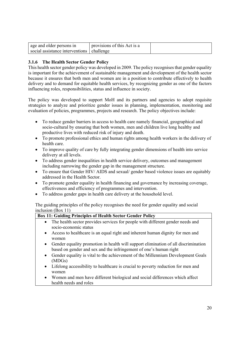| age and older persons in                  | provisions of this Act is a |  |
|-------------------------------------------|-----------------------------|--|
| social assistance interventions challenge |                             |  |

# **3.1.6 The Health Sector Gender Policy**

This health sector gender policy was developed in 2009. The policy recognises that gender equality is important for the achievement of sustainable management and development of the health sector because it ensures that both men and women are in a position to contribute effectively to health delivery and to demand for equitable health services, by recognizing gender as one of the factors influencing roles, responsibilities, status and influence in society.

The policy was developed to support MoH and its partners and agencies to adopt requisite strategies to analyze and prioritize gender issues in planning, implementation, monitoring and evaluation of policies, programmes, projects and research. The policy objectives include:

- To reduce gender barriers in access to health care namely financial, geographical and socio-cultural by ensuring that both women, men and children live long healthy and productive lives with reduced risk of injury and death.
- To promote professional ethics and human rights among health workers in the delivery of health care.
- To improve quality of care by fully integrating gender dimensions of health into service delivery at all levels.
- To address gender inequalities in health service delivery, outcomes and management including narrowing the gender gap in the management structure.
- To ensure that Gender HIV/ AIDS and sexual/ gender based violence issues are equitably addressed in the Health Sector.
- To promote gender equality in health financing and governance by increasing coverage, effectiveness and efficiency of programmes and intervention.
- To address gender gaps in health care delivery at the household level.

The guiding principles of the policy recognises the need for gender equality and social inclusion (Box 11)

# **Box 11: Guiding Principles of Health Sector Gender Policy**

- The health sector provides services for people with different gender needs and socio-economic status
- Access to healthcare is an equal right and inherent human dignity for men and women
- Gender equality promotion in health will support elimination of all discrimination based on gender and sex and the infringement of one's human right
- Gender equality is vital to the achievement of the Millennium Development Goals (MDGs)
- Lifelong accessibility to healthcare is crucial to poverty reduction for men and women
- Women and men have different biological and social differences which affect health needs and roles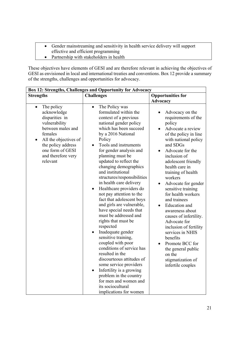- Gender mainstreaming and sensitivity in health service delivery will support effective and efficient programming
- Partnership with stakeholders in health

These objectives have elements of GESI and are therefore relevant in achieving the objectives of GESI as envisioned in local and international treaties and conventions. Box 12 provide a summary of the strengths, challenges and opportunities for advocacy.

| Box 12: Strengths, Challenges and Opportunity for Advocacy                                                                                                                                                                  |                                                                                                                                                                                                                                                                                                                                                                                                                                                                                                                                                                                                                                                                                                                                                                                                                                                                                                                                   |                                                                                                                                                                                                                                                                                                                                                                                                                                                                                                                                                                                                           |  |
|-----------------------------------------------------------------------------------------------------------------------------------------------------------------------------------------------------------------------------|-----------------------------------------------------------------------------------------------------------------------------------------------------------------------------------------------------------------------------------------------------------------------------------------------------------------------------------------------------------------------------------------------------------------------------------------------------------------------------------------------------------------------------------------------------------------------------------------------------------------------------------------------------------------------------------------------------------------------------------------------------------------------------------------------------------------------------------------------------------------------------------------------------------------------------------|-----------------------------------------------------------------------------------------------------------------------------------------------------------------------------------------------------------------------------------------------------------------------------------------------------------------------------------------------------------------------------------------------------------------------------------------------------------------------------------------------------------------------------------------------------------------------------------------------------------|--|
| <b>Strengths</b>                                                                                                                                                                                                            | <b>Challenges</b>                                                                                                                                                                                                                                                                                                                                                                                                                                                                                                                                                                                                                                                                                                                                                                                                                                                                                                                 | <b>Opportunities for</b>                                                                                                                                                                                                                                                                                                                                                                                                                                                                                                                                                                                  |  |
|                                                                                                                                                                                                                             |                                                                                                                                                                                                                                                                                                                                                                                                                                                                                                                                                                                                                                                                                                                                                                                                                                                                                                                                   | <b>Advocacy</b>                                                                                                                                                                                                                                                                                                                                                                                                                                                                                                                                                                                           |  |
| The policy<br>$\bullet$<br>acknowledge<br>disparities in<br>vulnerability<br>between males and<br>females<br>All the objectives of<br>$\bullet$<br>the policy address<br>one form of GESI<br>and therefore very<br>relevant | The Policy was<br>$\bullet$<br>formulated within the<br>context of a previous<br>national gender policy<br>which has been succeed<br>by a 2016 National<br>Policy<br>Tools and instruments<br>$\bullet$<br>for gender analysis and<br>planning must be<br>updated to reflect the<br>changing demographics<br>and institutional<br>structures/responsibilities<br>in health care delivery<br>Healthcare providers do<br>$\bullet$<br>not pay attention to the<br>fact that adolescent boys<br>and girls are vulnerable,<br>have special needs that<br>must be addressed and<br>rights that must be<br>respected<br>Inadequate gender<br>sensitive training,<br>coupled with poor<br>conditions of service has<br>resulted in the<br>discourteous attitudes of<br>some service providers<br>Infertility is a growing<br>$\bullet$<br>problem in the country<br>for men and women and<br>its sociocultural<br>implications for women | Advocacy on the<br>requirements of the<br>policy<br>Advocate a review<br>of the policy in line<br>with national policy<br>and SDGs<br>Advocate for the<br>inclusion of<br>adolescent friendly<br>health care in<br>training of health<br>workers<br>Advocate for gender<br>$\bullet$<br>sensitive training<br>for health workers<br>and trainees<br><b>Education</b> and<br>$\bullet$<br>awareness about<br>causes of infertility.<br>Advocate for<br>inclusion of fertility<br>services in NHIS<br>benefits<br>Promote BCC for<br>the general public<br>on the<br>stigmatization of<br>infertile couples |  |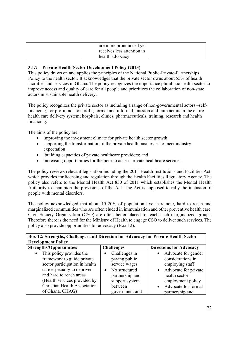| are more pronounced yet<br>receives less attention in |  |
|-------------------------------------------------------|--|
| health advocacy                                       |  |

# **3.1.7 Private Health Sector Development Policy (2013)**

This policy draws on and applies the principles of the National Public-Private-Partnerships Policy to the health sector. It acknowledges that the private sector owns about 55% of health facilities and services in Ghana. The policy recognizes the importance pluralistic health sector to improve access and quality of care for all people and prioritizes the collaboration of non-state actors in sustainable health delivery.

The policy recognizes the private sector as including a range of non-governmental actors –selffinancing, for profit, not-for-profit, formal and informal, mission and faith actors in the entire health care delivery system; hospitals, clinics, pharmaceuticals, training, research and health financing.

The aims of the policy are:

- improving the investment climate for private health sector growth
- supporting the transformation of the private health businesses to meet industry expectation
- building capacities of private healthcare providers; and
- increasing opportunities for the poor to access private healthcare services.

The policy reviews relevant legislation including the 2011 Health Institutions and Facilities Act, which provides for licensing and regulation through the Health Facilities Regulatory Agency. The policy also refers to the Mental Health Act 830 of 2011 which establishes the Mental Health Authority to champion the provisions of the Act. The Act is supposed to rally the inclusion of people with mental disorders.

The policy acknowledged that about 15-20% of population live in remote, hard to reach and marginalized communities who are often eluded in immunization and other preventive health care. Civil Society Organisation (CSO) are often better placed to reach such marginalized groups. Therefore there is the need for the Ministry of Health to engage CSO to deliver such services. The policy also provide opportunities for advocacy (Box 12).

| Box 12: Strengths, Challenges and Direction for Advocacy for Private Health Sector                                                                                                                                                                 |                                                                                                                                                 |                                                                                                                                                                                    |  |
|----------------------------------------------------------------------------------------------------------------------------------------------------------------------------------------------------------------------------------------------------|-------------------------------------------------------------------------------------------------------------------------------------------------|------------------------------------------------------------------------------------------------------------------------------------------------------------------------------------|--|
| <b>Development Policy</b>                                                                                                                                                                                                                          |                                                                                                                                                 |                                                                                                                                                                                    |  |
| <b>Strengths/Opportunities</b>                                                                                                                                                                                                                     | <b>Challenges</b>                                                                                                                               | <b>Directions for Advocacy</b>                                                                                                                                                     |  |
| This policy provides the<br>$\bullet$<br>framework to guide private<br>sector participation in health<br>care especially to deprived<br>and hard to reach areas<br>(Health services provided by<br>Christian Health Association<br>of Ghana, CHAG) | Challenges in<br>paying public<br>service wages<br>No structured<br>$\bullet$<br>partnership and<br>support system<br>between<br>government and | • Advocate for gender<br>considerations in<br>employing staff<br>Advocate for private<br>health sector<br>employment policy<br>Advocate for formal<br>$\bullet$<br>partnership and |  |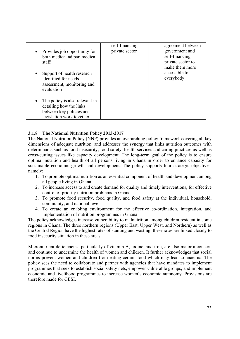| Provides job opportunity for<br>both medical ad paramedical<br>staff                                               | self-financing<br>private sector | agreement between<br>government and<br>self-financing<br>private sector to |
|--------------------------------------------------------------------------------------------------------------------|----------------------------------|----------------------------------------------------------------------------|
| Support of health research<br>identified for needs<br>assessment, monitoring and<br>evaluation                     |                                  | make them more<br>accessible to<br>everybody                               |
| The policy is also relevant in<br>detailing how the links<br>between key policies and<br>legislation work together |                                  |                                                                            |

# **3.1.8 The National Nutrition Policy 2013-2017**

The National Nutrition Policy (NNP) provides an overarching policy framework covering all key dimensions of adequate nutrition, and addresses the synergy that links nutrition outcomes with determinants such as food insecurity, food safety, health services and caring practices as well as cross-cutting issues like capacity development. The long-term goal of the policy is to ensure optimal nutrition and health of all persons living in Ghana in order to enhance capacity for sustainable economic growth and development. The policy supports four strategic objectives, namely:

- 1. To promote optimal nutrition as an essential component of health and development among all people living in Ghana
- 2. To increase access to and create demand for quality and timely interventions, for effective control of priority nutrition problems in Ghana
- 3. To promote food security, food quality, and food safety at the individual, household, community, and national levels
- 4. To create an enabling environment for the effective co-ordination, integration, and implementation of nutrition programmes in Ghana

The policy acknowledges increase vulnerability to malnutrition among children resident in some regions in Ghana. The three northern regions (Upper East, Upper West, and Northern) as well as the Central Region have the highest rates of stunting and wasting; these rates are linked closely to food insecurity situation in these areas.

Micronutrient deficiencies, particularly of vitamin A, iodine, and iron, are also major a concern and continue to undermine the health of women and children. It further acknowledges that social norms prevent women and children from eating certain food which may lead to anaemia. The policy sees the need to collaborate and partner with agencies that have mandates to implement programmes that seek to establish social safety nets, empower vulnerable groups, and implement economic and livelihood programmes to increase women's economic autonomy. Provisions are therefore made for GESI.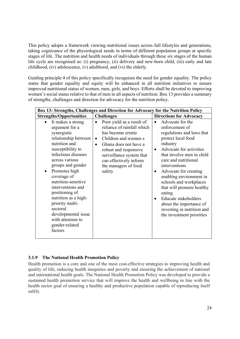This policy adopts a framework viewing nutritional issues across full lifestyles and generations, taking cognizance of the physiological needs in terms of different population groups at specific stages of life. The nutrition and health needs of individuals through these six stages of the human life cycle are recognised as: (i) pregnancy, (ii) delivery and new-born child, (iii) early and late childhood, (iv) adolescence, (v) adulthood, and (vi) the elderly.

Guiding principle 4 of this policy specifically recognises the need for gender equality. The policy states that gender equality and equity will be enhanced in all nutrition initiatives to ensure improved nutritional status of women, men, girls, and boys. Efforts shall be devoted to improving women's social status relative to that of men in all aspects of nutrition. Box 13 provides a summary of strengths, challenges and direction for advocacy for the nutrition policy.

| Box 13: Strengths, Challenges and Direction for Advocacy for the Nutrition Policy                                                                                                                                                                                                                                                                                                                                 |                                                                                                                                                                                                                                                                           |                                                                                                                                                                                                                                                                                                                                                                                                                                                                              |  |
|-------------------------------------------------------------------------------------------------------------------------------------------------------------------------------------------------------------------------------------------------------------------------------------------------------------------------------------------------------------------------------------------------------------------|---------------------------------------------------------------------------------------------------------------------------------------------------------------------------------------------------------------------------------------------------------------------------|------------------------------------------------------------------------------------------------------------------------------------------------------------------------------------------------------------------------------------------------------------------------------------------------------------------------------------------------------------------------------------------------------------------------------------------------------------------------------|--|
| <b>Strengths/Opportunities</b>                                                                                                                                                                                                                                                                                                                                                                                    | <b>Challenges</b>                                                                                                                                                                                                                                                         | <b>Directions for Advocacy</b>                                                                                                                                                                                                                                                                                                                                                                                                                                               |  |
| It makes a strong<br>argument for a<br>synergistic<br>relationship between<br>nutrition and<br>susceptibility to<br>infectious diseases<br>across various<br>groups and gender<br>Promotes high<br>٠<br>coverage of<br>nutrition-sensitive<br>interventions and<br>positioning of<br>nutrition as a high-<br>priority multi-<br>sectoral<br>developmental issue<br>with attention to<br>gender-related<br>factors | Poor yield as a result of<br>reliance of rainfall which<br>has become erratic<br>Children and women s<br>$\bullet$<br>Ghana does not have a<br>$\bullet$<br>robust and responsive<br>surveillance system that<br>can effectively inform<br>the managers of food<br>safety | Advocate for the<br>$\bullet$<br>enforcement of<br>regulations and laws that<br>protect local food<br>industry<br>Advocate for activities<br>$\bullet$<br>that involve men in child<br>care and nutritional<br>interventions<br>Advocate for creating<br>$\bullet$<br>enabling environment in<br>schools and workplaces<br>that will promote healthy<br>eating<br>Educate stakeholders<br>about the importance of<br>investing in nutrition and<br>the investment priorities |  |

# **3.1.9 The National Health Promotion Policy**

Health promotion is a core and one of the most cost-effective strategies to improving health and quality of life, reducing health inequities and poverty and ensuring the achievement of national and international health goals. The National Health Promotion Policy was developed to provide a sustained health promotion service that will improve the health and wellbeing in line with the health sector goal of ensuring a healthy and productive population capable of reproducing itself safely.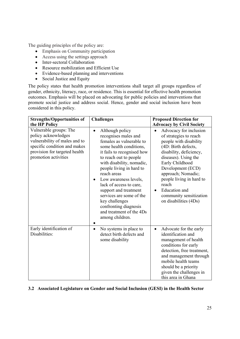The guiding principles of the policy are:

- Emphasis on Community participation
- Access using the settings approach
- Inter-sectoral Collaboration
- Resource mobilization and Efficient Use
- Evidence-based planning and interventions
- Social Justice and Equity

The policy states that health promotion interventions shall target all groups regardless of gender, ethnicity, literacy, race, or residence. This is essential for effective health promotion outcomes. Emphasis will be placed on advocating for public policies and interventions that promote social justice and address social. Hence, gender and social inclusion have been considered in this policy.

| <b>Strengths/Opportunities of</b><br>the HP Policy                                                                                                                      | <b>Challenges</b>                                                                                                                                                                                                                                                                                                                                                                                                                              | <b>Proposed Direction for</b><br><b>Advocacy by Civil Society</b>                                                                                                                                                                                                                                                                   |
|-------------------------------------------------------------------------------------------------------------------------------------------------------------------------|------------------------------------------------------------------------------------------------------------------------------------------------------------------------------------------------------------------------------------------------------------------------------------------------------------------------------------------------------------------------------------------------------------------------------------------------|-------------------------------------------------------------------------------------------------------------------------------------------------------------------------------------------------------------------------------------------------------------------------------------------------------------------------------------|
| Vulnerable groups: The<br>policy acknowledges<br>vulnerability of males and to<br>specific condition and makes<br>provision for targeted health<br>promotion activities | Although policy<br>$\bullet$<br>recognises males and<br>females as vulnerable to<br>some health conditions,<br>it fails to recognised how<br>to reach out to people<br>with disability, nomadic,<br>people living in hard to<br>reach areas<br>Low awareness levels,<br>lack of access to care,<br>support and treatment<br>services are some of the<br>key challenges<br>confronting diagnosis<br>and treatment of the 4Ds<br>among children. | Advocacy for inclusion<br>of strategies to reach<br>people with disability<br>(4D: Birth defects,<br>disability, deficiency,<br>diseases). Using the<br>Early Childhood<br>Development (ECD)<br>approach; Nomadic;<br>people living in hard to<br>reach<br><b>Education</b> and<br>community sensitization<br>on disabilities (4Ds) |
| Early identification of<br>Disabilities:                                                                                                                                | No systems in place to<br>$\bullet$<br>detect birth defects and<br>some disability                                                                                                                                                                                                                                                                                                                                                             | Advocate for the early<br>$\bullet$<br>identification and<br>management of health<br>conditions for early<br>detection, free treatment,<br>and management through<br>mobile health teams<br>should be a priority<br>given the challenges in<br>this area in Ghana                                                                   |

# **3.2 Associated Legislature on Gender and Social Inclusion (GESI) in the Health Sector**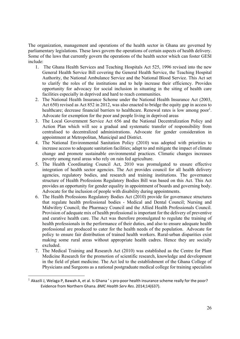The organization, management and operations of the health sector in Ghana are governed by parliamentary legislations. These laws govern the operations of certain aspects of health delivery. Some of the laws that currently govern the operations of the health sector which can foster GESI include:

- 1. The Ghana Health Services and Teaching Hospitals Act 525, 1996 revised into the new General Health Service Bill covering the General Health Service, the Teaching Hospital Authority, the National Ambulance Service and the National Blood Service. This Act set to clarify the roles of the institutions and to help increase their efficiency. Provides opportunity for advocacy for social inclusion in situating in the siting of health care facilities especially in deprived and hard to reach communities.
- 2. The National Health Insurance Scheme under the National Health Insurance Act (2003, Act 650) revised as Act 852 in 2012, was also enacted to bridge the equity gap in access to healthcare; decrease financial barriers to healthcare. Renewal rates is low among poor<sup>1</sup>. Advocate for exemption for the poor and people living in deprived areas
- 3. The Local Government Service Act 656 and the National Decentralization Policy and Action Plan which will see a gradual and systematic transfer of responsibility from centralised to decentralized administrations. Advocate for gender consideration in appointment at Metropolitan, Municipal and District.
- 4. The National Environmental Sanitation Policy (2010) was adopted with priorities to increase access to adequate sanitation facilities; adapt to and mitigate the impact of climate change and promote sustainable environmental practices. Climatic changes increases poverty among rural areas who rely on rain fed agriculture.
- 5. The Health Coordinating Council Act, 2010 was promulgated to ensure effective integration of health sector agencies. The Act provides council for all health delivery agencies, regulatory bodies, and research and training institutions. The governance structure of Health Professions Regulatory Bodies Bill was based on this Act. This Act provides an opportunity for gender equality in appointment of boards and governing body. Advocate for the inclusion of people with disability during appointments.
- 6. The Health Professions Regulatory Bodies Act (2010) provide for governance structures that regulate health professional bodies - Medical and Dental Council; Nursing and Midwifery Council; the Pharmacy Council and the Allied Health Professionals Council. Provision of adequate mix of health professional is important for the delivery of preventive and curative health care. The Act was therefore promulgated to regulate the training of health professionals in the performance of their duties, and also to ensure adequate health professional are produced to cater for the health needs of the population. Advocate for policy to ensure fair distribution of trained health workers. Rural-urban disparities exist making some rural areas without appropriate health cadres. Hence they are socially excluded.
- 7. The Medical Training and Research Act (2010) was established as the Centre for Plant Medicine Research for the promotion of scientific research, knowledge and development in the field of plant medicine. The Act led to the establishment of the Ghana College of Physicians and Surgeons as a national postgraduate medical college for training specialists

-

 $<sup>1</sup>$  Akazili J, Welaga P, Bawah A, et al. Is Ghana 's pro-poor health insurance scheme really for the poor?</sup> Evidence from Northern Ghana. *BMC Health Serv Res*. 2014;14(637).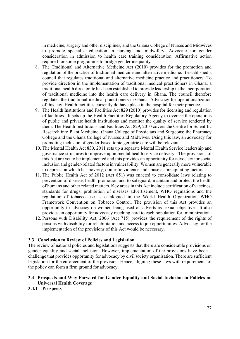in medicine, surgery and other disciplines, and the Ghana College of Nurses and Midwives to promote specialist education in nursing and midwifery. Advocate for gender consideration in admission to health care training consideration. Affirmative action required for some programme to bridge gender inequality.

- 8. The Traditional and Alternative Medicine Act (2010) provides for the promotion and regulation of the practice of traditional medicine and alternative medicine. It established a council that regulates traditional and alternative medicine practice and practitioners. To provide direction in the implementation of traditional medical practitioners in Ghana, a traditional health directorate has been established to provide leadership in the incorporation of traditional medicine into the health care delivery in Ghana. The council therefore regulates the traditional medical practitioners in Ghana. Advocacy for operationalization of this law. Health facilities currently do have place in the hospital for their practice.
- 9. The Health Institutions and Facilities Act 829 (2010) provides for licensing and regulation of facilities. It sets up the Health Facilities Regulatory Agency to oversee the operations of public and private health institutions and monitor the quality of service rendered by them. The Health Institutions and Facilities Act 829, 2010 covers the Centre for Scientific Research into Plant Medicine; Ghana College of Physicians and Surgeons; the Pharmacy College and the Ghana College of Nurses and Midwives. Using this law, an advocacy for promoting inclusion of gender-based topic geriatric care will be relevant.
- 10. The Mental Health Act 830, 2011 sets up a separate Mental Health Service leadership and governance structures to improve upon mental health service delivery. The provisions of this Act are yet to be implemented and this provides an opportunity for advocacy for social inclusion and gender-related factors in vulnerability. Women are generally more vulnerable to depression which has poverty, domestic violence and abuse as precipitating factors
- 11. The Public Health Act of 2012 (Act 851) was enacted to consolidate laws relating to prevention of disease, health promotion and to safeguard, maintain and protect the health of humans and other related matters. Key areas in this Act include certification of vaccines, standards for drugs, prohibition of diseases advertisement, WHO regulations and the regulation of tobacco use as catalogued in the World Health Organization WHO Framework Convention on Tobacco Control. The provision of this Act provides an opportunity to advocacy on women being used on adverts as sexual objectives. It also provides an opportunity for advocacy reaching hard to each population for immunization**.**
- 12. Persons with Disability Act, 2006 (Act 715) provides the requirement of the rights of persons with disability for rehabilitation and access to job opportunities. Advocacy for the implementation of the provisions of this Act would be necessary.

#### **3.3 Conclusion to Review of Policies and Legislation**

The review of national policies and legislations suggests that there are considerable provisions on gender equality and social inclusion. However, implementation of the provisions have been a challenge that provides opportunity for advocacy by civil society organisation. There are sufficient legislation for the enforcement of the provision. Hence, aligning these laws with requirements of the policy can form a firm ground for advocacy.

#### **3.4 Prospects and Way Forward for Gender Equality and Social Inclusion in Policies on Universal Health Coverage**

#### **3.4.1 Prospects**